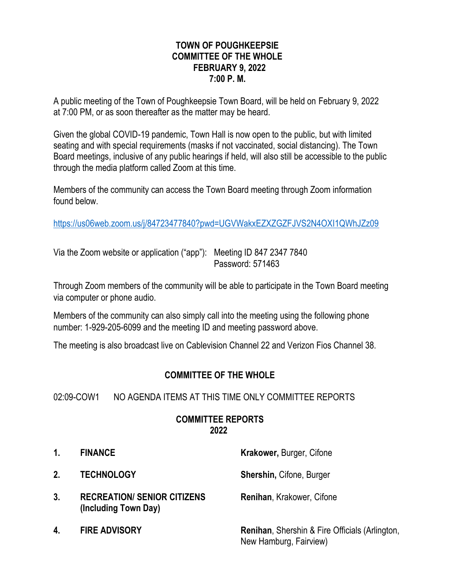## **TOWN OF POUGHKEEPSIE COMMITTEE OF THE WHOLE FEBRUARY 9, 2022 7:00 P. M.**

A public meeting of the Town of Poughkeepsie Town Board, will be held on February 9, 2022 at 7:00 PM, or as soon thereafter as the matter may be heard.

Given the global COVID-19 pandemic, Town Hall is now open to the public, but with limited seating and with special requirements (masks if not vaccinated, social distancing). The Town Board meetings, inclusive of any public hearings if held, will also still be accessible to the public through the media platform called Zoom at this time.

Members of the community can access the Town Board meeting through Zoom information found below.

<https://us06web.zoom.us/j/84723477840?pwd=UGVWakxEZXZGZFJVS2N4OXI1QWhJZz09>

Via the Zoom website or application ("app"): Meeting ID 847 2347 7840 Password: 571463

Through Zoom members of the community will be able to participate in the Town Board meeting via computer or phone audio.

Members of the community can also simply call into the meeting using the following phone number: 1-929-205-6099 and the meeting ID and meeting password above.

The meeting is also broadcast live on Cablevision Channel 22 and Verizon Fios Channel 38.

## **COMMITTEE OF THE WHOLE**

02:09-COW1 NO AGENDA ITEMS AT THIS TIME ONLY COMMITTEE REPORTS

## **COMMITTEE REPORTS 2022**

| 1 <sub>1</sub> | <b>FINANCE</b>                                             | Krakower, Burger, Cifone                                                            |
|----------------|------------------------------------------------------------|-------------------------------------------------------------------------------------|
| 2.             | <b>TECHNOLOGY</b>                                          | <b>Shershin, Cifone, Burger</b>                                                     |
| 3.             | <b>RECREATION/ SENIOR CITIZENS</b><br>(Including Town Day) | Renihan, Krakower, Cifone                                                           |
| 4.             | <b>FIRE ADVISORY</b>                                       | <b>Renihan, Shershin &amp; Fire Officials (Arlington,</b><br>New Hamburg, Fairview) |